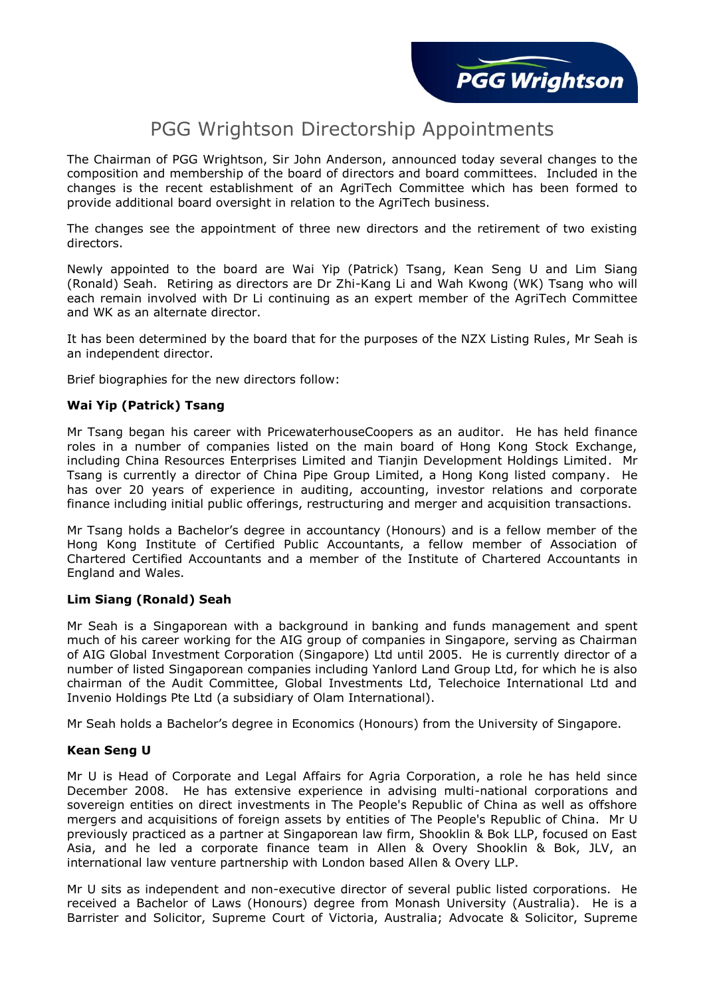# PGG Wrightson Directorship Appointments

The Chairman of PGG Wrightson, Sir John Anderson, announced today several changes to the composition and membership of the board of directors and board committees. Included in the changes is the recent establishment of an AgriTech Committee which has been formed to provide additional board oversight in relation to the AgriTech business.

The changes see the appointment of three new directors and the retirement of two existing directors.

Newly appointed to the board are Wai Yip (Patrick) Tsang, Kean Seng U and Lim Siang (Ronald) Seah. Retiring as directors are Dr Zhi-Kang Li and Wah Kwong (WK) Tsang who will each remain involved with Dr Li continuing as an expert member of the AgriTech Committee and WK as an alternate director.

It has been determined by the board that for the purposes of the NZX Listing Rules, Mr Seah is an independent director.

Brief biographies for the new directors follow:

## **Wai Yip (Patrick) Tsang**

Mr Tsang began his career with PricewaterhouseCoopers as an auditor. He has held finance roles in a number of companies listed on the main board of Hong Kong Stock Exchange, including China Resources Enterprises Limited and Tianjin Development Holdings Limited. Mr Tsang is currently a director of China Pipe Group Limited, a Hong Kong listed company. He has over 20 years of experience in auditing, accounting, investor relations and corporate finance including initial public offerings, restructuring and merger and acquisition transactions.

Mr Tsang holds a Bachelor's degree in accountancy (Honours) and is a fellow member of the Hong Kong Institute of Certified Public Accountants, a fellow member of Association of Chartered Certified Accountants and a member of the Institute of Chartered Accountants in England and Wales.

#### **Lim Siang (Ronald) Seah**

Mr Seah is a Singaporean with a background in banking and funds management and spent much of his career working for the AIG group of companies in Singapore, serving as Chairman of AIG Global Investment Corporation (Singapore) Ltd until 2005. He is currently director of a number of listed Singaporean companies including Yanlord Land Group Ltd, for which he is also chairman of the Audit Committee, Global Investments Ltd, Telechoice International Ltd and Invenio Holdings Pte Ltd (a subsidiary of Olam International).

Mr Seah holds a Bachelor's degree in Economics (Honours) from the University of Singapore.

#### **Kean Seng U**

Mr U is Head of Corporate and Legal Affairs for Agria Corporation, a role he has held since December 2008. He has extensive experience in advising multi-national corporations and sovereign entities on direct investments in The People's Republic of China as well as offshore mergers and acquisitions of foreign assets by entities of The People's Republic of China. Mr U previously practiced as a partner at Singaporean law firm, Shooklin & Bok LLP, focused on East Asia, and he led a corporate finance team in Allen & Overy Shooklin & Bok, JLV, an international law venture partnership with London based Allen & Overy LLP.

Mr U sits as independent and non-executive director of several public listed corporations. He received a Bachelor of Laws (Honours) degree from Monash University (Australia). He is a Barrister and Solicitor, Supreme Court of Victoria, Australia; Advocate & Solicitor, Supreme